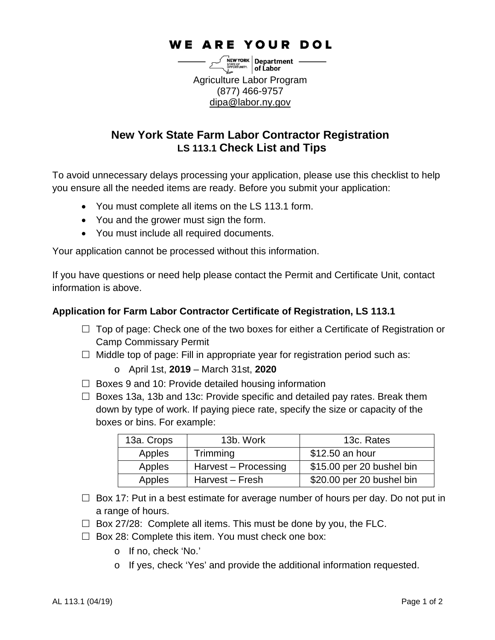# **WE ARE YOUR DOL**

 $\left[\begin{array}{c}\text{new work} \\ \text{MME96mm.}\\ \text{MME96mm.}\\ \text{MME96mm.}\end{array}\right]$  of Labor Agriculture Labor Program (877) 466-9757 [dipa@labor.ny.gov](mailto:dipa@labor.ny.gov)

# **New York State Farm Labor Contractor Registration LS 113.1 Check List and Tips**

To avoid unnecessary delays processing your application, please use this checklist to help you ensure all the needed items are ready. Before you submit your application:

- You must complete all items on the LS 113.1 form.
- You and the grower must sign the form.
- You must include all required documents.

Your application cannot be processed without this information.

If you have questions or need help please contact the Permit and Certificate Unit, contact information is above.

# **Application for Farm Labor Contractor Certificate of Registration, LS 113.1**

- $\Box$  Top of page: Check one of the two boxes for either a Certificate of Registration or Camp Commissary Permit
- $\Box$  Middle top of page: Fill in appropriate year for registration period such as:
	- o April 1st, **2019** March 31st, **2020**
- $\Box$  Boxes 9 and 10: Provide detailed housing information
- $\Box$  Boxes 13a, 13b and 13c: Provide specific and detailed pay rates. Break them down by type of work. If paying piece rate, specify the size or capacity of the boxes or bins. For example:

| 13a. Crops | 13b. Work            | 13c. Rates                |
|------------|----------------------|---------------------------|
| Apples     | Trimming             | \$12.50 an hour           |
| Apples     | Harvest - Processing | \$15.00 per 20 bushel bin |
| Apples     | Harvest – Fresh      | \$20.00 per 20 bushel bin |

- $\Box$  Box 17: Put in a best estimate for average number of hours per day. Do not put in a range of hours.
- $\Box$  Box 27/28: Complete all items. This must be done by you, the FLC.
- $\Box$  Box 28: Complete this item. You must check one box:
	- o If no, check 'No.'
	- o If yes, check 'Yes' and provide the additional information requested.